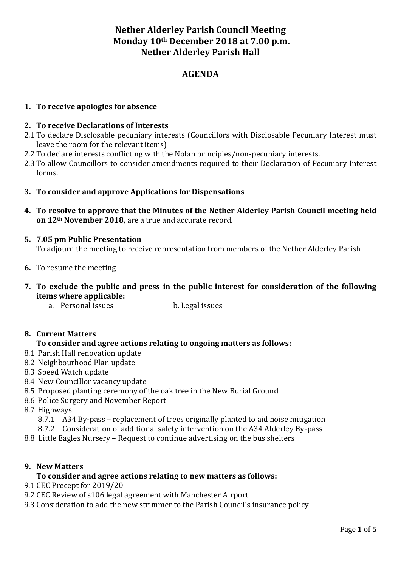# **Nether Alderley Parish Council Meeting Monday 10th December 2018 at 7.00 p.m. Nether Alderley Parish Hall**

## **AGENDA**

## **1. To receive apologies for absence**

## **2. To receive Declarations of Interests**

- 2.1 To declare Disclosable pecuniary interests (Councillors with Disclosable Pecuniary Interest must leave the room for the relevant items)
- 2.2 To declare interests conflicting with the Nolan principles/non-pecuniary interests.
- 2.3 To allow Councillors to consider amendments required to their Declaration of Pecuniary Interest forms.
- **3. To consider and approve Applications for Dispensations**
- **4. To resolve to approve that the Minutes of the Nether Alderley Parish Council meeting held on 12th November 2018,** are a true and accurate record.
- **5. 7.05 pm Public Presentation**

To adjourn the meeting to receive representation from members of the Nether Alderley Parish

- **6.** To resume the meeting
- **7. To exclude the public and press in the public interest for consideration of the following items where applicable:**
	- a. Personal issues b. Legal issues

## **8. Current Matters**

## **To consider and agree actions relating to ongoing matters as follows:**

- 8.1 Parish Hall renovation update
- 8.2 Neighbourhood Plan update
- 8.3 Speed Watch update
- 8.4 New Councillor vacancy update
- 8.5 Proposed planting ceremony of the oak tree in the New Burial Ground
- 8.6 Police Surgery and November Report
- 8.7 Highways
	- 8.7.1 A34 By-pass replacement of trees originally planted to aid noise mitigation
	- 8.7.2 Consideration of additional safety intervention on the A34 Alderley By-pass
- 8.8 Little Eagles Nursery Request to continue advertising on the bus shelters

### **9. New Matters**

### **To consider and agree actions relating to new matters as follows:**

- 9.1 CEC Precept for 2019/20
- 9.2 CEC Review of s106 legal agreement with Manchester Airport
- 9.3 Consideration to add the new strimmer to the Parish Council's insurance policy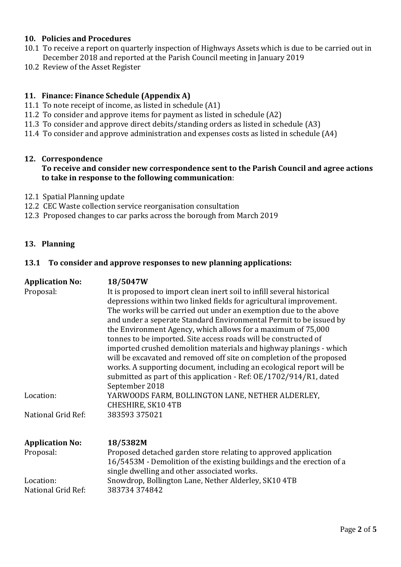## **10. Policies and Procedures**

- 10.1 To receive a report on quarterly inspection of Highways Assets which is due to be carried out in December 2018 and reported at the Parish Council meeting in January 2019
- 10.2 Review of the Asset Register

## **11. Finance: Finance Schedule (Appendix A)**

- 11.1 To note receipt of income, as listed in schedule (A1)
- 11.2 To consider and approve items for payment as listed in schedule (A2)
- 11.3 To consider and approve direct debits/standing orders as listed in schedule (A3)
- 11.4 To consider and approve administration and expenses costs as listed in schedule (A4)

### **12. Correspondence**

## **To receive and consider new correspondence sent to the Parish Council and agree actions to take in response to the following communication**:

- 12.1 Spatial Planning update
- 12.2 CEC Waste collection service reorganisation consultation
- 12.3 Proposed changes to car parks across the borough from March 2019

### **13. Planning**

### **13.1 To consider and approve responses to new planning applications:**

| <b>Application No:</b><br>Proposal: | 18/5047W<br>It is proposed to import clean inert soil to infill several historical<br>depressions within two linked fields for agricultural improvement.<br>The works will be carried out under an exemption due to the above<br>and under a seperate Standard Environmental Permit to be issued by<br>the Environment Agency, which allows for a maximum of 75,000<br>tonnes to be imported. Site access roads will be constructed of<br>imported crushed demolition materials and highway planings - which<br>will be excavated and removed off site on completion of the proposed<br>works. A supporting document, including an ecological report will be<br>submitted as part of this application - Ref: OE/1702/914/R1, dated<br>September 2018 |
|-------------------------------------|------------------------------------------------------------------------------------------------------------------------------------------------------------------------------------------------------------------------------------------------------------------------------------------------------------------------------------------------------------------------------------------------------------------------------------------------------------------------------------------------------------------------------------------------------------------------------------------------------------------------------------------------------------------------------------------------------------------------------------------------------|
| Location:                           | YARWOODS FARM, BOLLINGTON LANE, NETHER ALDERLEY,<br>CHESHIRE, SK10 4TB                                                                                                                                                                                                                                                                                                                                                                                                                                                                                                                                                                                                                                                                               |
| National Grid Ref:                  | 383593 375021                                                                                                                                                                                                                                                                                                                                                                                                                                                                                                                                                                                                                                                                                                                                        |
| <b>Application No:</b>              | 18/5382M                                                                                                                                                                                                                                                                                                                                                                                                                                                                                                                                                                                                                                                                                                                                             |
| Proposal:                           | Proposed detached garden store relating to approved application<br>16/5453M - Demolition of the existing buildings and the erection of a<br>single dwelling and other associated works.                                                                                                                                                                                                                                                                                                                                                                                                                                                                                                                                                              |
| Location:                           | Snowdrop, Bollington Lane, Nether Alderley, SK10 4TB                                                                                                                                                                                                                                                                                                                                                                                                                                                                                                                                                                                                                                                                                                 |
| National Grid Ref:                  | 383734374842                                                                                                                                                                                                                                                                                                                                                                                                                                                                                                                                                                                                                                                                                                                                         |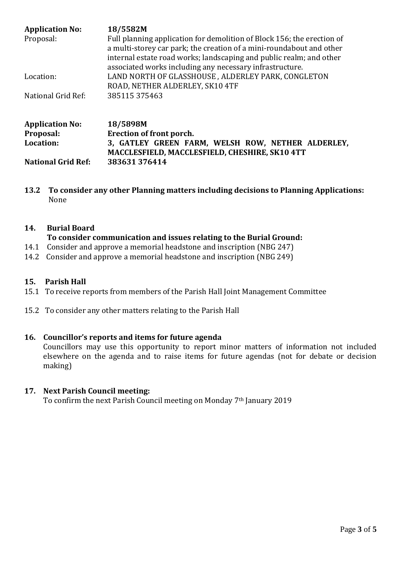| <b>Application No:</b><br>Proposal:              | 18/5582M<br>Full planning application for demolition of Block 156; the erection of<br>a multi-storey car park; the creation of a mini-roundabout and other<br>internal estate road works; landscaping and public realm; and other<br>associated works including any necessary infrastructure.<br>LAND NORTH OF GLASSHOUSE, ALDERLEY PARK, CONGLETON<br>ROAD, NETHER ALDERLEY, SK10 4TF |  |
|--------------------------------------------------|----------------------------------------------------------------------------------------------------------------------------------------------------------------------------------------------------------------------------------------------------------------------------------------------------------------------------------------------------------------------------------------|--|
| Location:                                        |                                                                                                                                                                                                                                                                                                                                                                                        |  |
| National Grid Ref:                               | 385115375463                                                                                                                                                                                                                                                                                                                                                                           |  |
| <b>Application No:</b><br>Proposal:<br>Location: | 18/5898M<br>Erection of front porch.<br>3, GATLEY GREEN FARM, WELSH ROW, NETHER ALDERLEY,<br>MACCLESFIELD, MACCLESFIELD, CHESHIRE, SK10 4TT                                                                                                                                                                                                                                            |  |
| <b>National Grid Ref:</b>                        | 383631376414                                                                                                                                                                                                                                                                                                                                                                           |  |

**13.2 To consider any other Planning matters including decisions to Planning Applications:** None

## **14. Burial Board**

## **To consider communication and issues relating to the Burial Ground:**

- 14.1 Consider and approve a memorial headstone and inscription (NBG 247)
- 14.2 Consider and approve a memorial headstone and inscription (NBG 249)

## **15. Parish Hall**

- 15.1 To receive reports from members of the Parish Hall Joint Management Committee
- 15.2 To consider any other matters relating to the Parish Hall

## **16. Councillor's reports and items for future agenda**

Councillors may use this opportunity to report minor matters of information not included elsewhere on the agenda and to raise items for future agendas (not for debate or decision making)

## **17. Next Parish Council meeting:**

To confirm the next Parish Council meeting on Monday 7th January 2019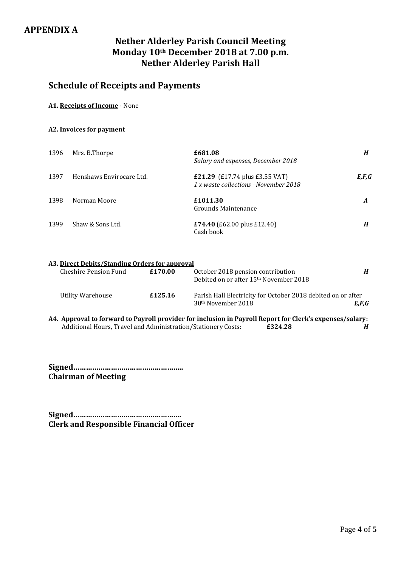# **Nether Alderley Parish Council Meeting Monday 10th December 2018 at 7.00 p.m. Nether Alderley Parish Hall**

# **Schedule of Receipts and Payments**

#### **A1. Receipts of Income** - None

#### **A2. Invoices for payment**

| 1396 | Mrs. B.Thorpe            | £681.08<br>Salary and expenses, December 2018                                 | H       |
|------|--------------------------|-------------------------------------------------------------------------------|---------|
| 1397 | Henshaws Envirocare Ltd. | <b>£21.29</b> (£17.74 plus £3.55 VAT)<br>1 x waste collections -November 2018 | E, F, G |
| 1398 | Norman Moore             | £1011.30<br>Grounds Maintenance                                               | A       |
| 1399 | Shaw & Sons Ltd.         | £74.40 (£62.00 plus £12.40)<br>Cash book                                      | H       |

## **A3. Direct Debits/Standing Orders for approval**

| Cheshire Pension Fund | £170.00 | October 2018 pension contribution<br>Debited on or after 15 <sup>th</sup> November 2018        | H     |
|-----------------------|---------|------------------------------------------------------------------------------------------------|-------|
| Utility Warehouse     | £125.16 | Parish Hall Electricity for October 2018 debited on or after<br>30 <sup>th</sup> November 2018 | E,F,G |

**A4. Approval to forward to Payroll provider for inclusion in Payroll Report for Clerk's expenses/salary:** Additional Hours, Travel and Administration/Stationery Costs: **£324.28** *H*

**Signed…………………………………………….. Chairman of Meeting**

**Signed……………………………………………. Clerk and Responsible Financial Officer**